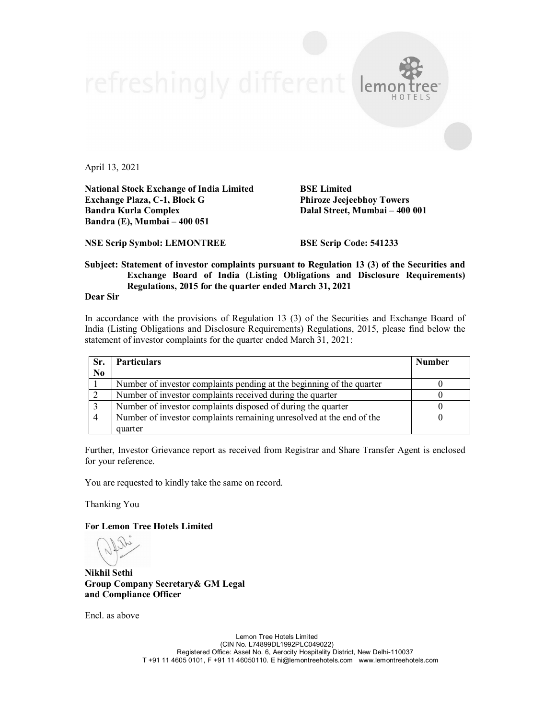April 13, 2021

**National Stock Exchange of India Limited BSE Limited Exchange Plaza, C-1, Block G Phiroze Jeejeebhoy Towers Bandra (E), Mumbai – 400 051**

**Dalal Street, Mumbai – 400 001** 

**NSE Scrip Symbol: LEMONTREE BSE Scrip Code: 541233**

## **Subject: Statement of investor complaints pursuant to Regulation 13 (3) of the Securities and Exchange Board of India (Listing Obligations and Disclosure Requirements) Regulations, 2015 for the quarter ended March 31, 2021**

refreshingly different lema

**Dear Sir**

In accordance with the provisions of Regulation 13 (3) of the Securities and Exchange Board of India (Listing Obligations and Disclosure Requirements) Regulations, 2015, please find below the statement of investor complaints for the quarter ended March 31, 2021:

| Sr.            | <b>Particulars</b>                                                    | <b>Number</b> |
|----------------|-----------------------------------------------------------------------|---------------|
| N <sub>0</sub> |                                                                       |               |
|                | Number of investor complaints pending at the beginning of the quarter |               |
|                | Number of investor complaints received during the quarter             |               |
|                | Number of investor complaints disposed of during the quarter          |               |
|                | Number of investor complaints remaining unresolved at the end of the  |               |
|                | quarter                                                               |               |

Further, Investor Grievance report as received from Registrar and Share Transfer Agent is enclosed for your reference.

You are requested to kindly take the same on record.

Thanking You

**For Lemon Tree Hotels Limited**

**Nikhil Sethi Group Company Secretary& GM Legal and Compliance Officer**

Encl. as above